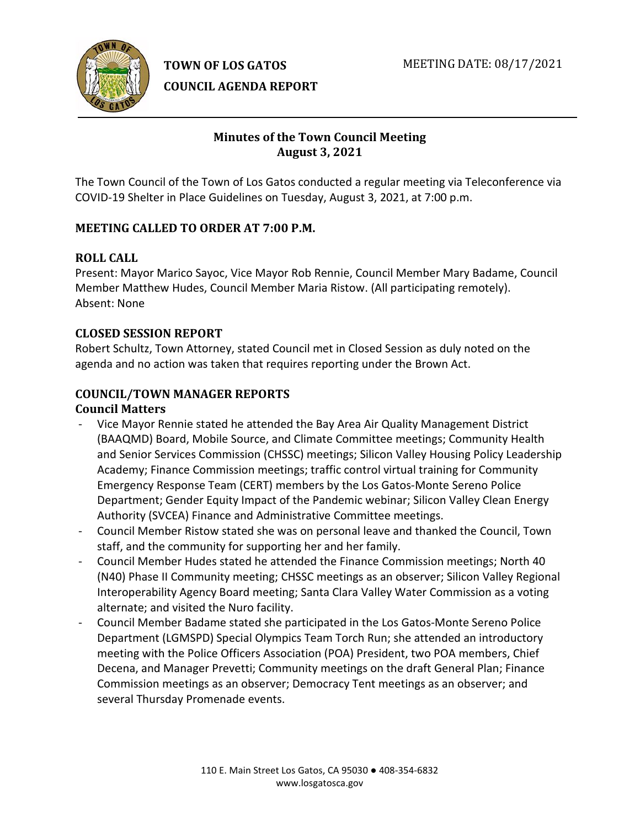



**COUNCIL AGENDA REPORT**

# **Minutes of the Town Council Meeting August 3, 2021**

The Town Council of the Town of Los Gatos conducted a regular meeting via Teleconference via COVID-19 Shelter in Place Guidelines on Tuesday, August 3, 2021, at 7:00 p.m.

# **MEETING CALLED TO ORDER AT 7:00 P.M.**

## **ROLL CALL**

Present: Mayor Marico Sayoc, Vice Mayor Rob Rennie, Council Member Mary Badame, Council Member Matthew Hudes, Council Member Maria Ristow. (All participating remotely). Absent: None

## **CLOSED SESSION REPORT**

Robert Schultz, Town Attorney, stated Council met in Closed Session as duly noted on the agenda and no action was taken that requires reporting under the Brown Act.

## **COUNCIL/TOWN MANAGER REPORTS Council Matters**

- Vice Mayor Rennie stated he attended the Bay Area Air Quality Management District (BAAQMD) Board, Mobile Source, and Climate Committee meetings; Community Health and Senior Services Commission (CHSSC) meetings; Silicon Valley Housing Policy Leadership Academy; Finance Commission meetings; traffic control virtual training for Community Emergency Response Team (CERT) members by the Los Gatos-Monte Sereno Police Department; Gender Equity Impact of the Pandemic webinar; Silicon Valley Clean Energy Authority (SVCEA) Finance and Administrative Committee meetings.
- Council Member Ristow stated she was on personal leave and thanked the Council, Town staff, and the community for supporting her and her family.
- Council Member Hudes stated he attended the Finance Commission meetings; North 40 (N40) Phase II Community meeting; CHSSC meetings as an observer; Silicon Valley Regional Interoperability Agency Board meeting; Santa Clara Valley Water Commission as a voting alternate; and visited the Nuro facility.
- Council Member Badame stated she participated in the Los Gatos-Monte Sereno Police Department (LGMSPD) Special Olympics Team Torch Run; she attended an introductory meeting with the Police Officers Association (POA) President, two POA members, Chief Decena, and Manager Prevetti; Community meetings on the draft General Plan; Finance Commission meetings as an observer; Democracy Tent meetings as an observer; and several Thursday Promenade events.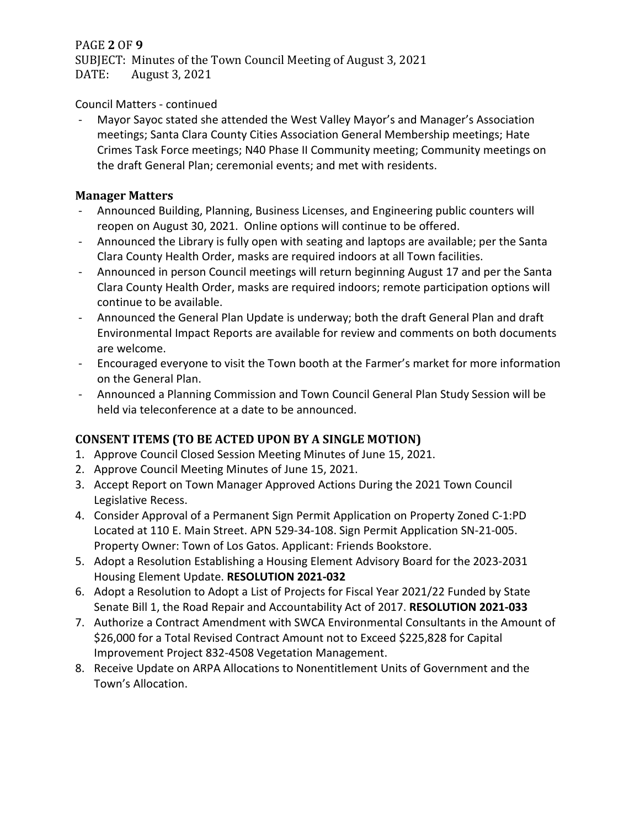## PAGE **2** OF **9**

SUBJECT: Minutes of the Town Council Meeting of August 3, 2021<br>DATE: August 3, 2021 August 3, 2021

## Council Matters - continued

Mayor Sayoc stated she attended the West Valley Mayor's and Manager's Association meetings; Santa Clara County Cities Association General Membership meetings; Hate Crimes Task Force meetings; N40 Phase II Community meeting; Community meetings on the draft General Plan; ceremonial events; and met with residents.

### **Manager Matters**

- Announced Building, Planning, Business Licenses, and Engineering public counters will reopen on August 30, 2021. Online options will continue to be offered.
- Announced the Library is fully open with seating and laptops are available; per the Santa Clara County Health Order, masks are required indoors at all Town facilities.
- Announced in person Council meetings will return beginning August 17 and per the Santa Clara County Health Order, masks are required indoors; remote participation options will continue to be available.
- Announced the General Plan Update is underway; both the draft General Plan and draft Environmental Impact Reports are available for review and comments on both documents are welcome.
- Encouraged everyone to visit the Town booth at the Farmer's market for more information on the General Plan.
- Announced a Planning Commission and Town Council General Plan Study Session will be held via teleconference at a date to be announced.

## **CONSENT ITEMS (TO BE ACTED UPON BY A SINGLE MOTION)**

- 1. Approve Council Closed Session Meeting Minutes of June 15, 2021.
- 2. Approve Council Meeting Minutes of June 15, 2021.
- 3. Accept Report on Town Manager Approved Actions During the 2021 Town Council Legislative Recess.
- 4. Consider Approval of a Permanent Sign Permit Application on Property Zoned C-1:PD Located at 110 E. Main Street. APN 529-34-108. Sign Permit Application SN-21-005. Property Owner: Town of Los Gatos. Applicant: Friends Bookstore.
- 5. Adopt a Resolution Establishing a Housing Element Advisory Board for the 2023-2031 Housing Element Update. **RESOLUTION 2021-032**
- 6. Adopt a Resolution to Adopt a List of Projects for Fiscal Year 2021/22 Funded by State Senate Bill 1, the Road Repair and Accountability Act of 2017. **RESOLUTION 2021-033**
- 7. Authorize a Contract Amendment with SWCA Environmental Consultants in the Amount of \$26,000 for a Total Revised Contract Amount not to Exceed \$225,828 for Capital Improvement Project 832-4508 Vegetation Management.
- 8. Receive Update on ARPA Allocations to Nonentitlement Units of Government and the Town's Allocation.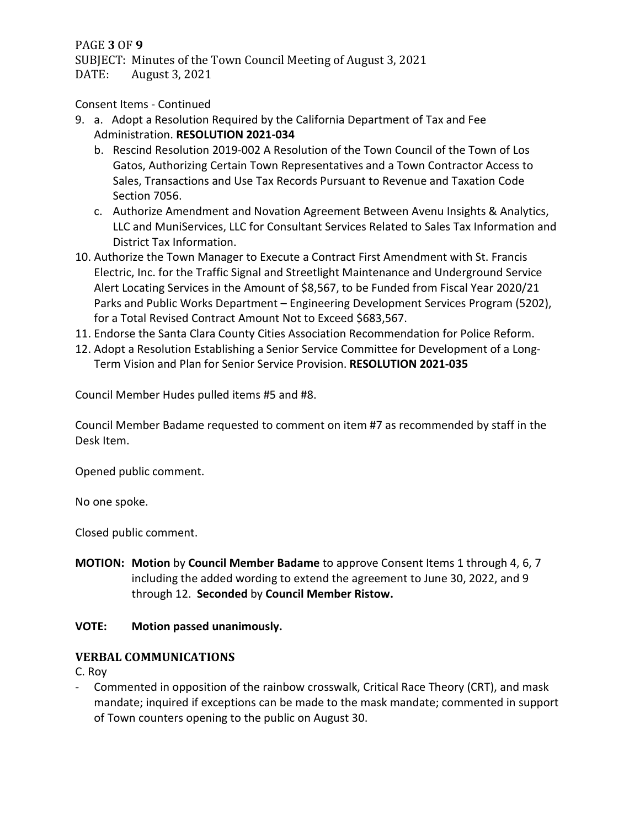### PAGE **3** OF **9**

SUBJECT: Minutes of the Town Council Meeting of August 3, 2021<br>DATE: August 3, 2021 August 3, 2021

Consent Items - Continued

- 9. a. Adopt a Resolution Required by the California Department of Tax and Fee Administration. **RESOLUTION 2021-034**
	- b. Rescind Resolution 2019-002 A Resolution of the Town Council of the Town of Los Gatos, Authorizing Certain Town Representatives and a Town Contractor Access to Sales, Transactions and Use Tax Records Pursuant to Revenue and Taxation Code Section 7056.
	- c. Authorize Amendment and Novation Agreement Between Avenu Insights & Analytics, LLC and MuniServices, LLC for Consultant Services Related to Sales Tax Information and District Tax Information.
- 10. Authorize the Town Manager to Execute a Contract First Amendment with St. Francis Electric, Inc. for the Traffic Signal and Streetlight Maintenance and Underground Service Alert Locating Services in the Amount of \$8,567, to be Funded from Fiscal Year 2020/21 Parks and Public Works Department – Engineering Development Services Program (5202), for a Total Revised Contract Amount Not to Exceed \$683,567.
- 11. Endorse the Santa Clara County Cities Association Recommendation for Police Reform.
- 12. Adopt a Resolution Establishing a Senior Service Committee for Development of a Long-Term Vision and Plan for Senior Service Provision. **RESOLUTION 2021-035**

Council Member Hudes pulled items #5 and #8.

Council Member Badame requested to comment on item #7 as recommended by staff in the Desk Item.

Opened public comment.

No one spoke.

Closed public comment.

**MOTION: Motion** by **Council Member Badame** to approve Consent Items 1 through 4, 6, 7 including the added wording to extend the agreement to June 30, 2022, and 9 through 12. **Seconded** by **Council Member Ristow.**

## **VOTE: Motion passed unanimously.**

## **VERBAL COMMUNICATIONS**

C. Roy

- Commented in opposition of the rainbow crosswalk, Critical Race Theory (CRT), and mask mandate; inquired if exceptions can be made to the mask mandate; commented in support of Town counters opening to the public on August 30.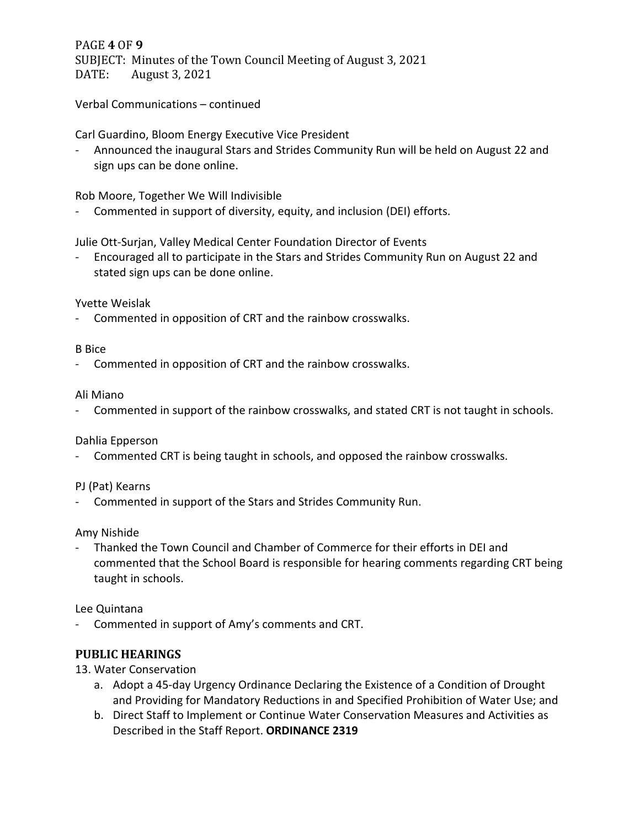PAGE **4** OF **9** SUBJECT: Minutes of the Town Council Meeting of August 3, 2021<br>DATE: August 3, 2021 August 3, 2021

Verbal Communications – continued

Carl Guardino, Bloom Energy Executive Vice President

- Announced the inaugural Stars and Strides Community Run will be held on August 22 and sign ups can be done online.

Rob Moore, Together We Will Indivisible

- Commented in support of diversity, equity, and inclusion (DEI) efforts.

Julie Ott-Surjan, Valley Medical Center Foundation Director of Events

- Encouraged all to participate in the Stars and Strides Community Run on August 22 and stated sign ups can be done online.

Yvette Weislak

- Commented in opposition of CRT and the rainbow crosswalks.

#### B Bice

- Commented in opposition of CRT and the rainbow crosswalks.

#### Ali Miano

- Commented in support of the rainbow crosswalks, and stated CRT is not taught in schools.

### Dahlia Epperson

- Commented CRT is being taught in schools, and opposed the rainbow crosswalks.

### PJ (Pat) Kearns

- Commented in support of the Stars and Strides Community Run.

### Amy Nishide

- Thanked the Town Council and Chamber of Commerce for their efforts in DEI and commented that the School Board is responsible for hearing comments regarding CRT being taught in schools.

Lee Quintana

Commented in support of Amy's comments and CRT.

## **PUBLIC HEARINGS**

13. Water Conservation

- a. Adopt a 45-day Urgency Ordinance Declaring the Existence of a Condition of Drought and Providing for Mandatory Reductions in and Specified Prohibition of Water Use; and
- b. Direct Staff to Implement or Continue Water Conservation Measures and Activities as Described in the Staff Report. **ORDINANCE 2319**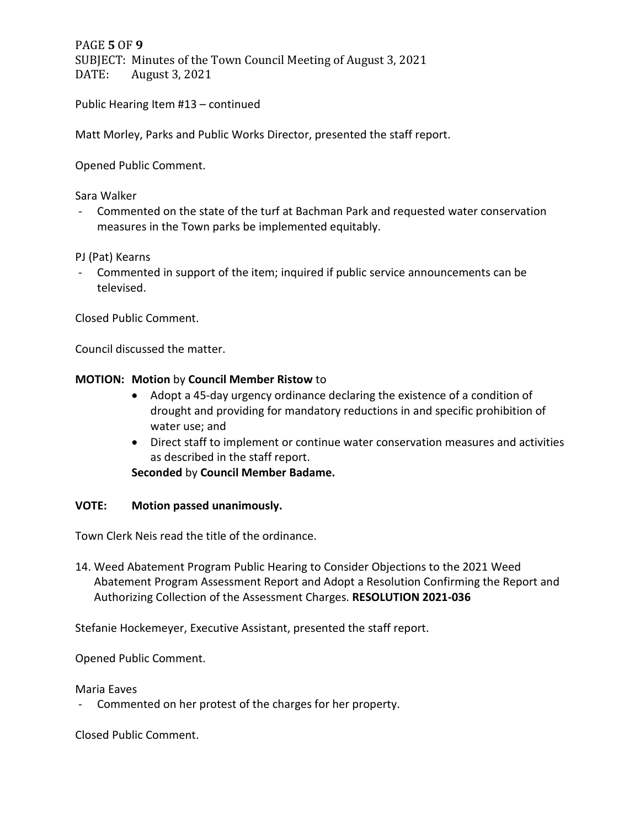PAGE **5** OF **9** SUBJECT: Minutes of the Town Council Meeting of August 3, 2021<br>DATE: August 3, 2021 August 3, 2021

Public Hearing Item #13 – continued

Matt Morley, Parks and Public Works Director, presented the staff report.

Opened Public Comment.

Sara Walker

- Commented on the state of the turf at Bachman Park and requested water conservation measures in the Town parks be implemented equitably.

PJ (Pat) Kearns

- Commented in support of the item; inquired if public service announcements can be televised.

Closed Public Comment.

Council discussed the matter.

#### **MOTION: Motion** by **Council Member Ristow** to

- Adopt a 45-day urgency ordinance declaring the existence of a condition of drought and providing for mandatory reductions in and specific prohibition of water use; and
- Direct staff to implement or continue water conservation measures and activities as described in the staff report.

**Seconded** by **Council Member Badame.**

#### **VOTE: Motion passed unanimously.**

Town Clerk Neis read the title of the ordinance.

14. Weed Abatement Program Public Hearing to Consider Objections to the 2021 Weed Abatement Program Assessment Report and Adopt a Resolution Confirming the Report and Authorizing Collection of the Assessment Charges. **RESOLUTION 2021-036**

Stefanie Hockemeyer, Executive Assistant, presented the staff report.

Opened Public Comment.

Maria Eaves

- Commented on her protest of the charges for her property.

Closed Public Comment.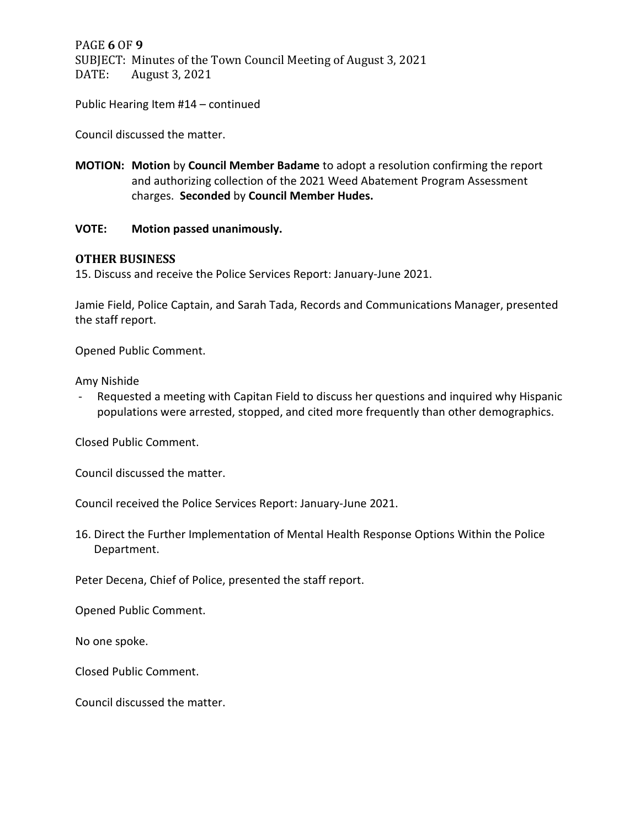PAGE **6** OF **9** SUBJECT: Minutes of the Town Council Meeting of August 3, 2021<br>DATE: August 3, 2021 August 3, 2021

Public Hearing Item #14 – continued

Council discussed the matter.

**MOTION: Motion** by **Council Member Badame** to adopt a resolution confirming the report and authorizing collection of the 2021 Weed Abatement Program Assessment charges. **Seconded** by **Council Member Hudes.**

#### **VOTE: Motion passed unanimously.**

#### **OTHER BUSINESS**

15. Discuss and receive the Police Services Report: January-June 2021.

Jamie Field, Police Captain, and Sarah Tada, Records and Communications Manager, presented the staff report.

Opened Public Comment.

Amy Nishide

Requested a meeting with Capitan Field to discuss her questions and inquired why Hispanic populations were arrested, stopped, and cited more frequently than other demographics.

Closed Public Comment.

Council discussed the matter.

Council received the Police Services Report: January-June 2021.

16. Direct the Further Implementation of Mental Health Response Options Within the Police Department.

Peter Decena, Chief of Police, presented the staff report.

Opened Public Comment.

No one spoke.

Closed Public Comment.

Council discussed the matter.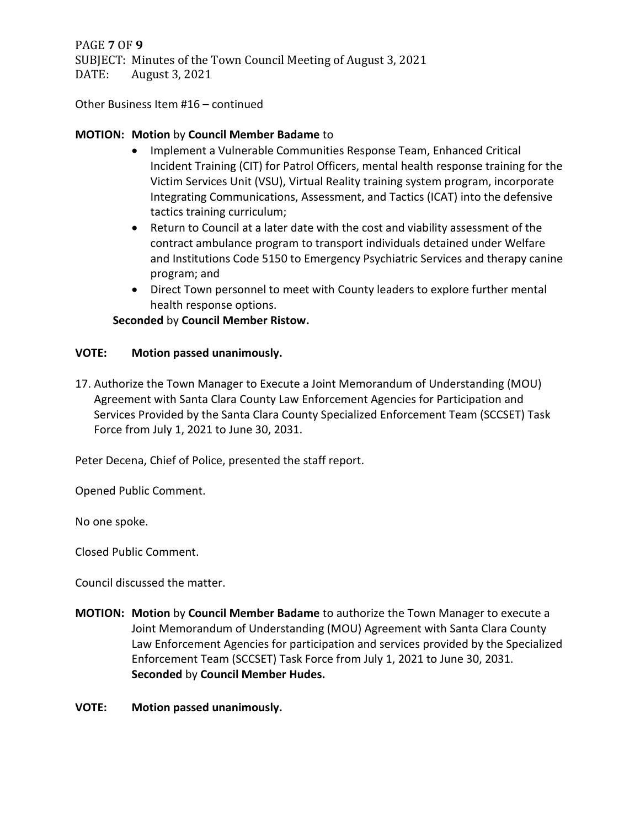PAGE **7** OF **9** SUBJECT: Minutes of the Town Council Meeting of August 3, 2021 DATE: August 3, 2021

Other Business Item #16 – continued

### **MOTION: Motion** by **Council Member Badame** to

- Implement a Vulnerable Communities Response Team, Enhanced Critical Incident Training (CIT) for Patrol Officers, mental health response training for the Victim Services Unit (VSU), Virtual Reality training system program, incorporate Integrating Communications, Assessment, and Tactics (ICAT) into the defensive tactics training curriculum;
- Return to Council at a later date with the cost and viability assessment of the contract ambulance program to transport individuals detained under Welfare and Institutions Code 5150 to Emergency Psychiatric Services and therapy canine program; and
- Direct Town personnel to meet with County leaders to explore further mental health response options.

### **Seconded** by **Council Member Ristow.**

### **VOTE: Motion passed unanimously.**

17. Authorize the Town Manager to Execute a Joint Memorandum of Understanding (MOU) Agreement with Santa Clara County Law Enforcement Agencies for Participation and Services Provided by the Santa Clara County Specialized Enforcement Team (SCCSET) Task Force from July 1, 2021 to June 30, 2031.

Peter Decena, Chief of Police, presented the staff report.

Opened Public Comment.

No one spoke.

Closed Public Comment.

Council discussed the matter.

- **MOTION: Motion** by **Council Member Badame** to authorize the Town Manager to execute a Joint Memorandum of Understanding (MOU) Agreement with Santa Clara County Law Enforcement Agencies for participation and services provided by the Specialized Enforcement Team (SCCSET) Task Force from July 1, 2021 to June 30, 2031. **Seconded** by **Council Member Hudes.**
- **VOTE: Motion passed unanimously.**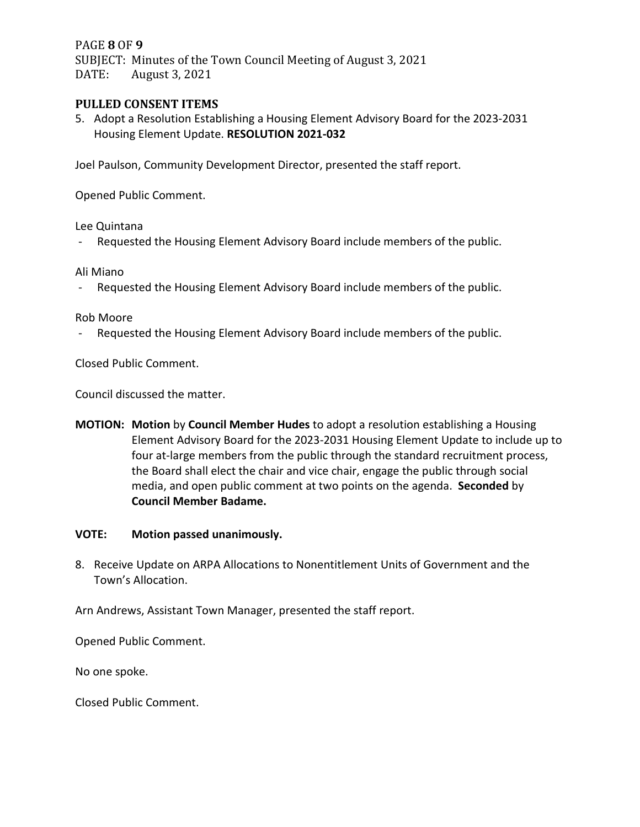### PAGE **8** OF **9**

SUBJECT: Minutes of the Town Council Meeting of August 3, 2021<br>DATE: August 3, 2021 August 3, 2021

### **PULLED CONSENT ITEMS**

5. Adopt a Resolution Establishing a Housing Element Advisory Board for the 2023-2031 Housing Element Update. **RESOLUTION 2021-032**

Joel Paulson, Community Development Director, presented the staff report.

Opened Public Comment.

Lee Quintana

- Requested the Housing Element Advisory Board include members of the public.

Ali Miano

- Requested the Housing Element Advisory Board include members of the public.

#### Rob Moore

- Requested the Housing Element Advisory Board include members of the public.

Closed Public Comment.

Council discussed the matter.

**MOTION: Motion** by **Council Member Hudes** to adopt a resolution establishing a Housing Element Advisory Board for the 2023-2031 Housing Element Update to include up to four at-large members from the public through the standard recruitment process, the Board shall elect the chair and vice chair, engage the public through social media, and open public comment at two points on the agenda. **Seconded** by **Council Member Badame.**

#### **VOTE: Motion passed unanimously.**

8. Receive Update on ARPA Allocations to Nonentitlement Units of Government and the Town's Allocation.

Arn Andrews, Assistant Town Manager, presented the staff report.

Opened Public Comment.

No one spoke.

Closed Public Comment.